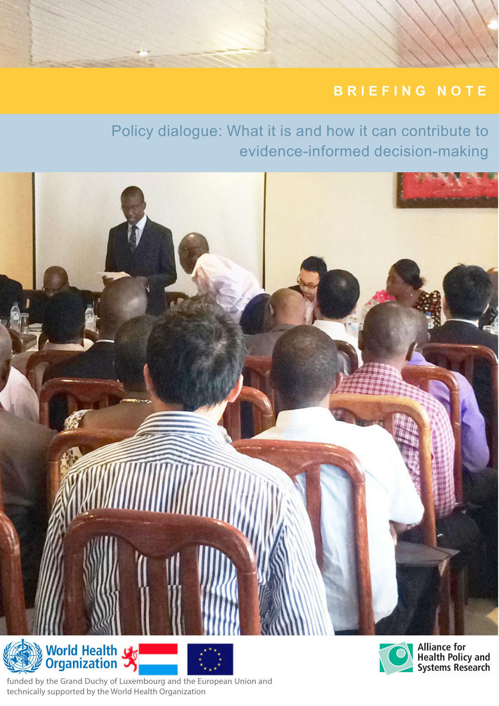## **B R I E F I N G N O T E**

# Policy dialogue: What it is and how it can contribute to evidence-informed decision-making





funded by the Grand Duchy of Luxembourg and the European Union and technically supported by the World Health Organization



Alliance for<br>Health Policy and<br>Systems Research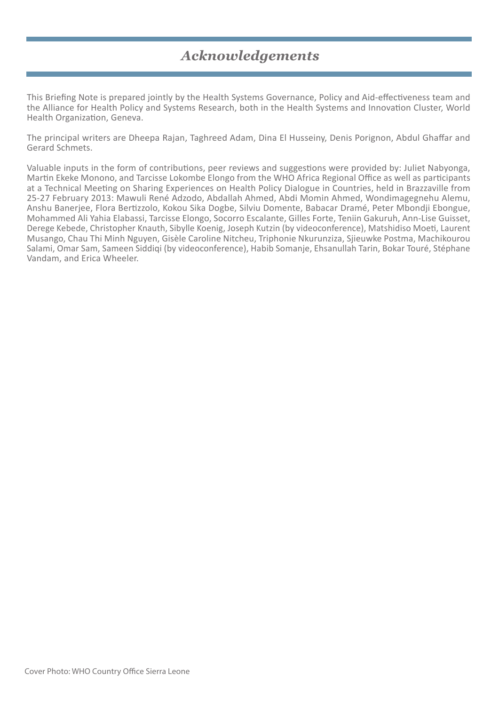## *Acknowledgements*

This Briefing Note is prepared jointly by the Health Systems Governance, Policy and Aid-effectiveness team and the Alliance for Health Policy and Systems Research, both in the Health Systems and Innovation Cluster, World Health Organization, Geneva.

The principal writers are Dheepa Rajan, Taghreed Adam, Dina El Husseiny, Denis Porignon, Abdul Ghaffar and Gerard Schmets.

Valuable inputs in the form of contributions, peer reviews and suggestions were provided by: Juliet Nabyonga, Martin Ekeke Monono, and Tarcisse Lokombe Elongo from the WHO Africa Regional Office as well as participants at a Technical Meeting on Sharing Experiences on Health Policy Dialogue in Countries, held in Brazzaville from 25-27 February 2013: Mawuli René Adzodo, Abdallah Ahmed, Abdi Momin Ahmed, Wondimagegnehu Alemu, Anshu Banerjee, Flora Bertizzolo, Kokou Sika Dogbe, Silviu Domente, Babacar Dramé, Peter Mbondji Ebongue, Mohammed Ali Yahia Elabassi, Tarcisse Elongo, Socorro Escalante, Gilles Forte, Teniin Gakuruh, Ann-Lise Guisset, Derege Kebede, Christopher Knauth, Sibylle Koenig, Joseph Kutzin (by videoconference), Matshidiso Moeti, Laurent Musango, Chau Thi Minh Nguyen, Gisèle Caroline Nitcheu, Triphonie Nkurunziza, Sjieuwke Postma, Machikourou Salami, Omar Sam, Sameen Siddiqi (by videoconference), Habib Somanje, Ehsanullah Tarin, Bokar Touré, Stéphane Vandam, and Erica Wheeler.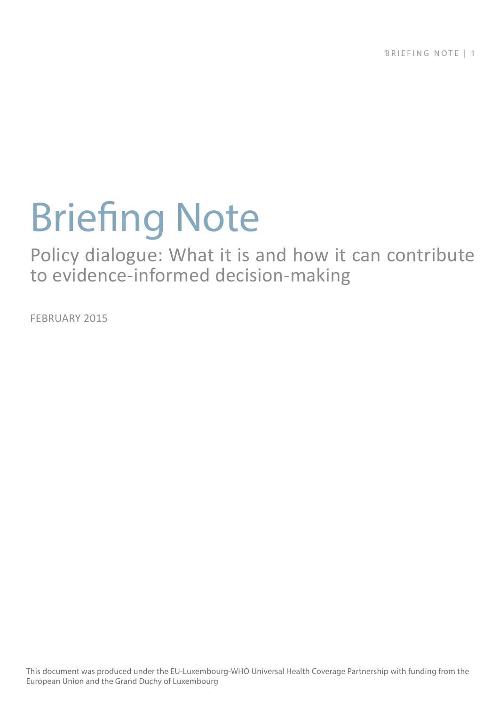# Briefing Note

Policy dialogue: What it is and how it can contribute to evidence-informed decision-making

FEBRUARY 2015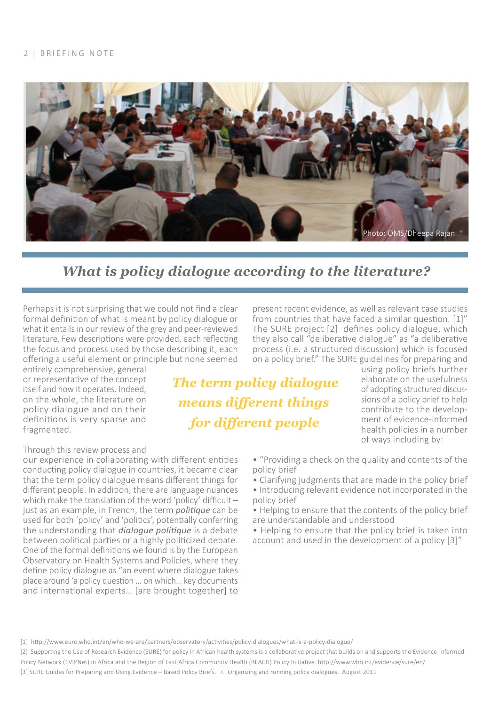#### 2 | BRIEFING NOTE



## *What is policy dialogue according to the literature?*

Perhaps it is not surprising that we could not find a clear formal definition of what is meant by policy dialogue or what it entails in our review of the grey and peer-reviewed literature. Few descriptions were provided, each reflecting the focus and process used by those describing it, each offering a useful element or principle but none seemed

entirely comprehensive, general or representative of the concept itself and how it operates. Indeed, on the whole, the literature on policy dialogue and on their definitions is very sparse and fragmented.

#### Through this review process and

our experience in collaborating with different entities conducting policy dialogue in countries, it became clear that the term policy dialogue means different things for different people. In addition, there are language nuances which make the translation of the word 'policy' difficult – just as an example, in French, the term *politique* can be used for both 'policy' and 'politics', potentially conferring the understanding that *dialogue politique* is a debate between political parties or a highly politicized debate. One of the formal definitions we found is by the European Observatory on Health Systems and Policies, where they define policy dialogue as "an event where dialogue takes place around 'a policy question … on which… key documents and international experts… [are brought together] to

present recent evidence, as well as relevant case studies from countries that have faced a similar question. [1]" The SURE project [2] defines policy dialogue, which they also call "deliberative dialogue" as "a deliberative process (i.e. a structured discussion) which is focused on a policy brief." The SURE guidelines for preparing and

## *The term policy dialogue means different things for different people*

using policy briefs further elaborate on the usefulness of adopting structured discussions of a policy brief to help contribute to the development of evidence-informed health policies in a number of ways including by:

- "Providing a check on the quality and contents of the policy brief
- Clarifying judgments that are made in the policy brief • Introducing relevant evidence not incorporated in the
- policy brief
- Helping to ensure that the contents of the policy brief are understandable and understood
- Helping to ensure that the policy brief is taken into account and used in the development of a policy [3]"

- [2] Supporting the Use of Research Evidence (SURE) for policy in African health systems is a collaborative project that builds on and supports the Evidence-Informed
- Policy Network (EVIPNet) in Africa and the Region of East Africa Community Health (REACH) Policy Initiative. http://www.who.int/evidence/sure/en/
- [3] SURE Guides for Preparing and Using Evidence Based Policy Briefs. 7. Organizing and running policy dialogues. August 2011

<sup>[1]</sup> http://www.euro.who.int/en/who-we-are/partners/observatory/activities/policy-dialogues/what-is-a-policy-dialogue/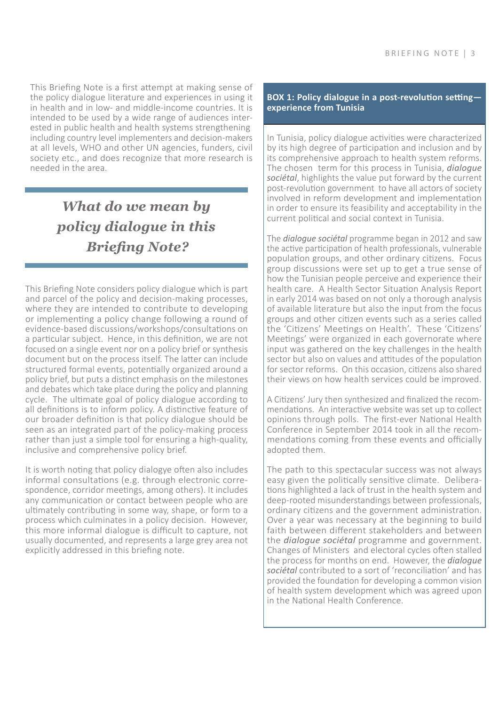This Briefing Note is a first attempt at making sense of the policy dialogue literature and experiences in using it in health and in low- and middle-income countries. It is intended to be used by a wide range of audiences interested in public health and health systems strengthening including country level implementers and decision-makers at all levels, WHO and other UN agencies, funders, civil society etc., and does recognize that more research is needed in the area.

# *What do we mean by policy dialogue in this Briefing Note?*

This Briefing Note considers policy dialogue which is part and parcel of the policy and decision-making processes, where they are intended to contribute to developing or implementing a policy change following a round of evidence-based discussions/workshops/consultations on a particular subject. Hence, in this definition, we are not focused on a single event nor on a policy brief or synthesis document but on the process itself. The latter can include structured formal events, potentially organized around a policy brief, but puts a distinct emphasis on the milestones and debates which take place during the policy and planning cycle. The ultimate goal of policy dialogue according to all definitions is to inform policy. A distinctive feature of our broader definition is that policy dialogue should be seen as an integrated part of the policy-making process rather than just a simple tool for ensuring a high-quality, inclusive and comprehensive policy brief.

It is worth noting that policy dialogye often also includes informal consultations (e.g. through electronic correspondence, corridor meetings, among others). It includes any communication or contact between people who are ultimately contributing in some way, shape, or form to a process which culminates in a policy decision. However, this more informal dialogue is difficult to capture, not usually documented, and represents a large grey area not explicitly addressed in this briefing note.

#### **BOX 1: Policy dialogue in a post-revolution setting experience from Tunisia**

In Tunisia, policy dialogue activities were characterized by its high degree of participation and inclusion and by its comprehensive approach to health system reforms. The chosen term for this process in Tunisia, *dialogue sociétal*, highlights the value put forward by the current post-revolution government to have all actors of society involved in reform development and implementation in order to ensure its feasibility and acceptability in the current political and social context in Tunisia.

The *dialogue sociétal* programme began in 2012 and saw the active participation of health professionals, vulnerable population groups, and other ordinary citizens. Focus group discussions were set up to get a true sense of how the Tunisian people perceive and experience their health care. A Health Sector Situation Analysis Report in early 2014 was based on not only a thorough analysis of available literature but also the input from the focus groups and other citizen events such as a series called the 'Citizens' Meetings on Health'. These 'Citizens' Meetings' were organized in each governorate where input was gathered on the key challenges in the health sector but also on values and attitudes of the population for sector reforms. On this occasion, citizens also shared their views on how health services could be improved.

A Citizens' Jury then synthesized and finalized the recommendations. An interactive website was set up to collect opinions through polls. The first-ever National Health Conference in September 2014 took in all the recommendations coming from these events and officially adopted them.

The path to this spectacular success was not always easy given the politically sensitive climate. Deliberations highlighted a lack of trust in the health system and deep-rooted misunderstandings between professionals, ordinary citizens and the government administration. Over a year was necessary at the beginning to build faith between different stakeholders and between the *dialogue sociétal* programme and government. Changes of Ministers and electoral cycles often stalled the process for months on end. However, the *dialogue sociétal* contributed to a sort of 'reconciliation' and has provided the foundation for developing a common vision of health system development which was agreed upon in the National Health Conference.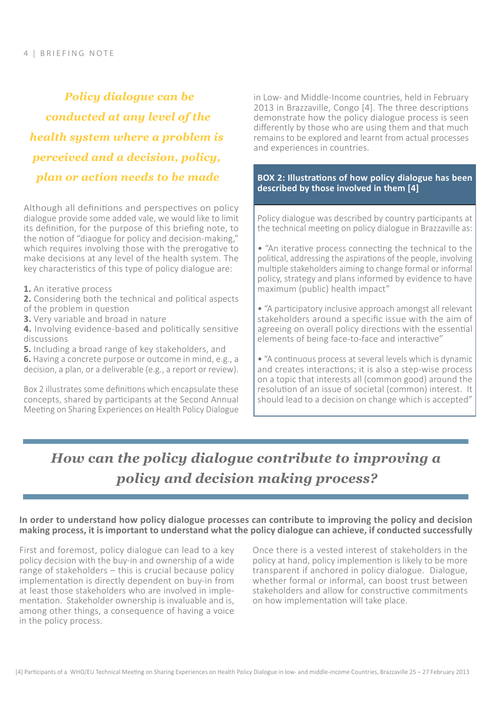*Policy dialogue can be conducted at any level of the health system where a problem is perceived and a decision, policy, plan or action needs to be made*

Although all definitions and perspectives on policy dialogue provide some added vale, we would like to limit its definition, for the purpose of this briefing note, to the notion of "diaogue for policy and decision-making," which requires involving those with the prerogative to make decisions at any level of the health system. The key characteristics of this type of policy dialogue are:

**1.** An iterative process

- **2.** Considering both the technical and political aspects of the problem in question
- **3.** Very variable and broad in nature

**4.** Involving evidence-based and politically sensitive discussions

**5.** Including a broad range of key stakeholders, and **6.** Having a concrete purpose or outcome in mind, e.g., a decision, a plan, or a deliverable (e.g., a report or review).

Box 2 illustrates some definitions which encapsulate these concepts, shared by participants at the Second Annual Meeting on Sharing Experiences on Health Policy Dialogue

in Low- and Middle-Income countries, held in February 2013 in Brazzaville, Congo [4]. The three descriptions demonstrate how the policy dialogue process is seen differently by those who are using them and that much remains to be explored and learnt from actual processes and experiences in countries.

#### **BOX 2: Illustrations of how policy dialogue has been described by those involved in them [4]**

Policy dialogue was described by country participants at the technical meeting on policy dialogue in Brazzaville as:

*•* "An iterative process connecting the technical to the political, addressing the aspirations of the people, involving multiple stakeholders aiming to change formal or informal policy, strategy and plans informed by evidence to have maximum (public) health impact"

*•* "A participatory inclusive approach amongst all relevant stakeholders around a specific issue with the aim of agreeing on overall policy directions with the essential elements of being face-to-face and interactive"

*•* "A continuous process at several levels which is dynamic and creates interactions; it is also a step-wise process on a topic that interests all (common good) around the resolution of an issue of societal (common) interest. It should lead to a decision on change which is accepted"

# *How can the policy dialogue contribute to improving a policy and decision making process?*

#### **In order to understand how policy dialogue processes can contribute to improving the policy and decision making process, it is important to understand what the policy dialogue can achieve, if conducted successfully**

First and foremost, policy dialogue can lead to a key policy decision with the buy-in and ownership of a wide range of stakeholders – this is crucial because policy implementation is directly dependent on buy-in from at least those stakeholders who are involved in implementation. Stakeholder ownership is invaluable and is, among other things, a consequence of having a voice in the policy process.

Once there is a vested interest of stakeholders in the policy at hand, policy implemention is likely to be more transparent if anchored in policy dialogue. Dialogue, whether formal or informal, can boost trust between stakeholders and allow for constructive commitments on how implementation will take place.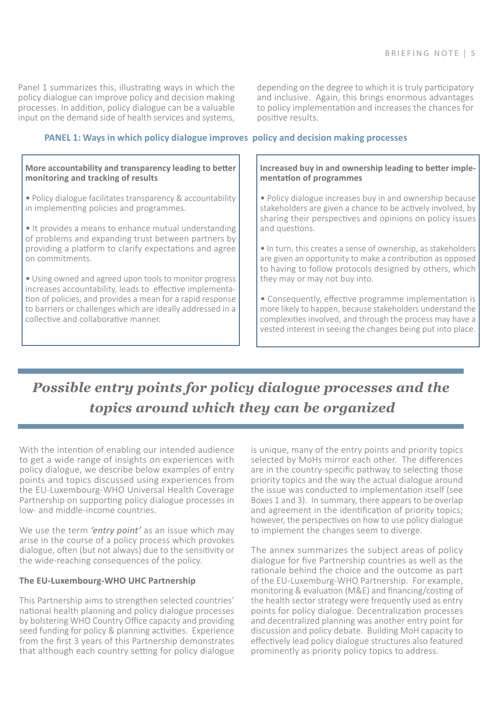Panel 1 summarizes this, illustrating ways in which the policy dialogue can improve policy and decision making processes. In addition, policy dialogue can be a valuable input on the demand side of health services and systems,

depending on the degree to which it is truly participatory and inclusive. Again, this brings enormous advantages to policy implementation and increases the chances for positive results.

#### **PANEL 1: Ways in which policy dialogue improves policy and decision making processes**

**More accountability and transparency leading to better monitoring and tracking of results** 

*•* Policy dialogue facilitates transparency & accountability in implementing policies and programmes.

*•* It provides a means to enhance mutual understanding of problems and expanding trust between partners by providing a platform to clarify expectations and agree on commitments.

*•* Using owned and agreed upon tools to monitor progress increases accountability, leads to effective implementation of policies, and provides a mean for a rapid response to barriers or challenges which are ideally addressed in a collective and collaborative manner.

**Increased buy in and ownership leading to better implementation of programmes**

*•* Policy dialogue increases buy in and ownership because stakeholders are given a chance to be actively involved, by sharing their perspectives and opinions on policy issues and questions.

*•* In turn, this creates a sense of ownership, as stakeholders are given an opportunity to make a contribution as opposed to having to follow protocols designed by others, which they may or may not buy into.

*•* Consequently, effective programme implementation is more likely to happen, because stakeholders understand the complexities involved, and through the process may have a vested interest in seeing the changes being put into place.

## *Possible entry points for policy dialogue processes and the topics around which they can be organized*

With the intention of enabling our intended audience to get a wide range of insights on experiences with policy dialogue, we describe below examples of entry points and topics discussed using experiences from the EU-Luxembourg-WHO Universal Health Coverage Partnership on supporting policy dialogue processes in low- and middle-income countries.

We use the term *'entry point'* as an issue which may arise in the course of a policy process which provokes dialogue, often (but not always) due to the sensitivity or the wide-reaching consequences of the policy.

#### **The EU-Luxembourg-WHO UHC Partnership**

This Partnership aims to strengthen selected countries' national health planning and policy dialogue processes by bolstering WHO Country Office capacity and providing seed funding for policy & planning activities. Experience from the first 3 years of this Partnership demonstrates that although each country setting for policy dialogue

is unique, many of the entry points and priority topics selected by MoHs mirror each other. The differences are in the country-specific pathway to selecting those priority topics and the way the actual dialogue around the issue was conducted to implementation itself (see Boxes 1 and 3). In summary, there appears to be overlap and agreement in the identification of priority topics; however, the perspectives on how to use policy dialogue to implement the changes seem to diverge.

The annex summarizes the subject areas of policy dialogue for five Partnership countries as well as the rationale behind the choice and the outcome as part of the EU-Luxemburg-WHO Partnership. For example, monitoring & evaluation (M&E) and financing/costing of the health sector strategy were frequently used as entry points for policy dialogue. Decentralization processes and decentralized planning was another entry point for discussion and policy debate. Building MoH capacity to effectively lead policy dialogue structures also featured prominently as priority policy topics to address.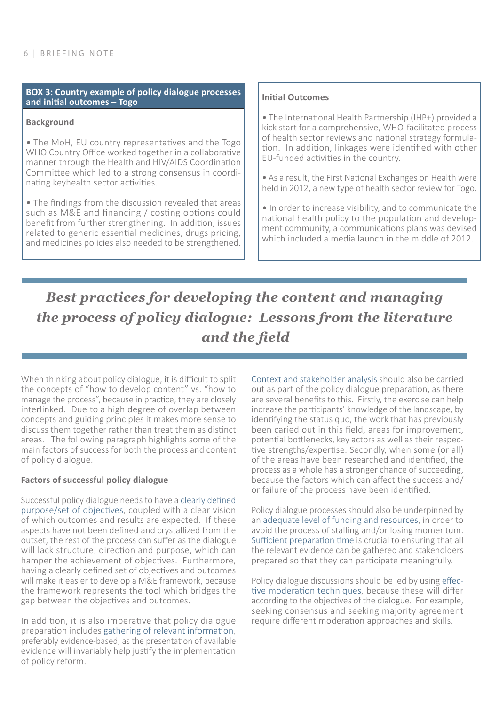#### **BOX 3: Country example of policy dialogue processes and initial outcomes – Togo**

#### **Background**

*•* The MoH, EU country representatives and the Togo WHO Country Office worked together in a collaborative manner through the Health and HIV/AIDS Coordination Committee which led to a strong consensus in coordinating keyhealth sector activities.

*•* The findings from the discussion revealed that areas such as M&E and financing / costing options could benefit from further strengthening. In addition, issues related to generic essential medicines, drugs pricing, and medicines policies also needed to be strengthened.

#### **Initial Outcomes**

*•* The International Health Partnership (IHP+) provided a kick start for a comprehensive, WHO-facilitated process of health sector reviews and national strategy formulation. In addition, linkages were identified with other EU-funded activities in the country.

*•* As a result, the First National Exchanges on Health were held in 2012, a new type of health sector review for Togo.

*•* In order to increase visibility, and to communicate the national health policy to the population and development community, a communications plans was devised which included a media launch in the middle of 2012

# *Best practices for developing the content and managing the process of policy dialogue: Lessons from the literature and the field*

When thinking about policy dialogue, it is difficult to split the concepts of "how to develop content" vs. "how to manage the process", because in practice, they are closely interlinked. Due to a high degree of overlap between concepts and guiding principles it makes more sense to discuss them together rather than treat them as distinct areas. The following paragraph highlights some of the main factors of success for both the process and content of policy dialogue.

#### **Factors of successful policy dialogue**

Successful policy dialogue needs to have a clearly defined purpose/set of objectives, coupled with a clear vision of which outcomes and results are expected. If these aspects have not been defined and crystallized from the outset, the rest of the process can suffer as the dialogue will lack structure, direction and purpose, which can hamper the achievement of objectives. Furthermore, having a clearly defined set of objectives and outcomes will make it easier to develop a M&E framework, because the framework represents the tool which bridges the gap between the objectives and outcomes.

In addition, it is also imperative that policy dialogue preparation includes gathering of relevant information, preferably evidence-based, as the presentation of available evidence will invariably help justify the implementation of policy reform.

Context and stakeholder analysis should also be carried out as part of the policy dialogue preparation, as there are several benefits to this. Firstly, the exercise can help increase the participants' knowledge of the landscape, by identifying the status quo, the work that has previously been caried out in this field, areas for improvement, potential bottlenecks, key actors as well as their respective strengths/expertise. Secondly, when some (or all) of the areas have been researched and identified, the process as a whole has a stronger chance of succeeding, because the factors which can affect the success and/ or failure of the process have been identified.

Policy dialogue processes should also be underpinned by an adequate level of funding and resources, in order to avoid the process of stalling and/or losing momentum. Sufficient preparation time is crucial to ensuring that all the relevant evidence can be gathered and stakeholders prepared so that they can participate meaningfully.

Policy dialogue discussions should be led by using effective moderation techniques, because these will differ according to the objectives of the dialogue. For example, seeking consensus and seeking majority agreement require different moderation approaches and skills.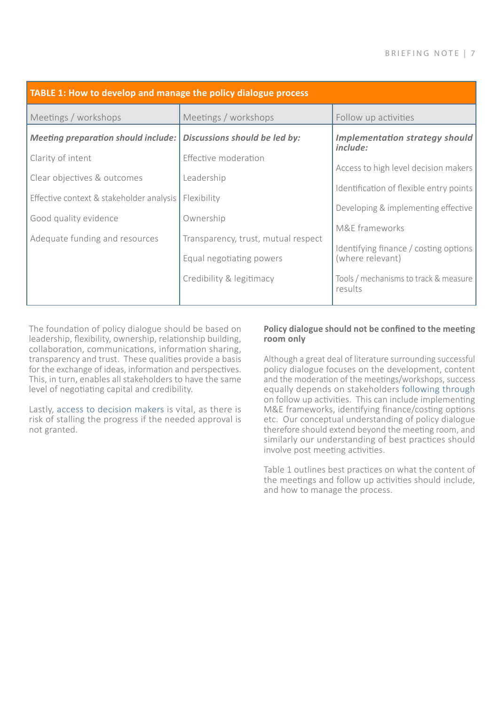#### BRIEFING NOTE | 7

| TABLE 1: How to develop and manage the policy dialogue process |                                                                                                                                             |  |  |  |  |  |  |
|----------------------------------------------------------------|---------------------------------------------------------------------------------------------------------------------------------------------|--|--|--|--|--|--|
| Meetings / workshops                                           | Follow up activities                                                                                                                        |  |  |  |  |  |  |
|                                                                | <b>Implementation strategy should</b><br><i>include:</i>                                                                                    |  |  |  |  |  |  |
| Effective moderation                                           |                                                                                                                                             |  |  |  |  |  |  |
| Leadership                                                     | Access to high level decision makers                                                                                                        |  |  |  |  |  |  |
|                                                                | Identification of flexible entry points                                                                                                     |  |  |  |  |  |  |
|                                                                | Developing & implementing effective                                                                                                         |  |  |  |  |  |  |
|                                                                | M&E frameworks                                                                                                                              |  |  |  |  |  |  |
| Transparency, trust, mutual respect                            | Identifying finance / costing options                                                                                                       |  |  |  |  |  |  |
| Equal negotiating powers                                       |                                                                                                                                             |  |  |  |  |  |  |
| Credibility & legitimacy                                       | Tools / mechanisms to track & measure<br>results                                                                                            |  |  |  |  |  |  |
|                                                                | Meeting preparation should include:   Discussions should be led by:<br>Effective context & stakeholder analysis<br>Flexibility<br>Ownership |  |  |  |  |  |  |

The foundation of policy dialogue should be based on leadership, flexibility, ownership, relationship building, collaboration, communications, information sharing, transparency and trust. These qualities provide a basis for the exchange of ideas, information and perspectives. This, in turn, enables all stakeholders to have the same level of negotiating capital and credibility.

Lastly, access to decision makers is vital, as there is risk of stalling the progress if the needed approval is not granted.

#### **Policy dialogue should not be confined to the meeting room only**

Although a great deal of literature surrounding successful policy dialogue focuses on the development, content and the moderation of the meetings/workshops, success equally depends on stakeholders following through on follow up activities. This can include implementing M&E frameworks, identifying finance/costing options etc. Our conceptual understanding of policy dialogue therefore should extend beyond the meeting room, and similarly our understanding of best practices should involve post meeting activities.

Table 1 outlines best practices on what the content of the meetings and follow up activities should include, and how to manage the process.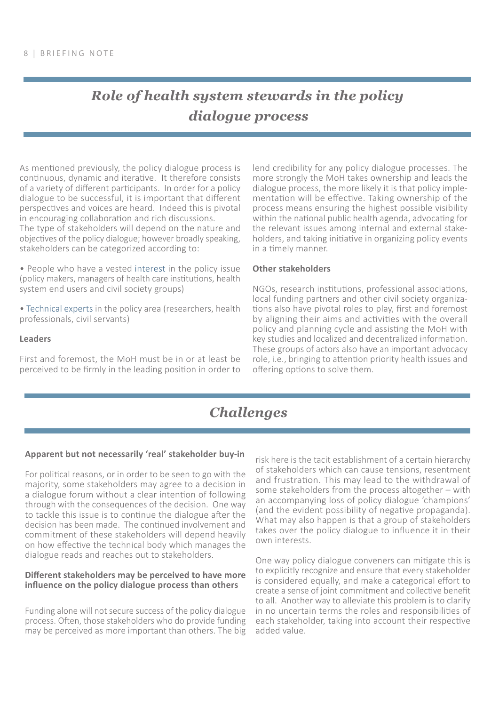# *Role of health system stewards in the policy dialogue process*

As mentioned previously, the policy dialogue process is continuous, dynamic and iterative. It therefore consists of a variety of different participants. In order for a policy dialogue to be successful, it is important that different perspectives and voices are heard. Indeed this is pivotal in encouraging collaboration and rich discussions.

The type of stakeholders will depend on the nature and objectives of the policy dialogue; however broadly speaking, stakeholders can be categorized according to:

• People who have a vested interest in the policy issue (policy makers, managers of health care institutions, health system end users and civil society groups)

• Technical experts in the policy area (researchers, health professionals, civil servants)

#### **Leaders**

First and foremost, the MoH must be in or at least be perceived to be firmly in the leading position in order to lend credibility for any policy dialogue processes. The more strongly the MoH takes ownership and leads the dialogue process, the more likely it is that policy implementation will be effective. Taking ownership of the process means ensuring the highest possible visibility within the national public health agenda, advocating for the relevant issues among internal and external stakeholders, and taking initiative in organizing policy events in a timely manner.

#### **Other stakeholders**

NGOs, research institutions, professional associations, local funding partners and other civil society organizations also have pivotal roles to play, first and foremost by aligning their aims and activities with the overall policy and planning cycle and assisting the MoH with key studies and localized and decentralized information. These groups of actors also have an important advocacy role, i.e., bringing to attention priority health issues and offering options to solve them.

## *Challenges*

#### **Apparent but not necessarily 'real' stakeholder buy-in**

For political reasons, or in order to be seen to go with the majority, some stakeholders may agree to a decision in a dialogue forum without a clear intention of following through with the consequences of the decision. One way to tackle this issue is to continue the dialogue after the decision has been made. The continued involvement and commitment of these stakeholders will depend heavily on how effective the technical body which manages the dialogue reads and reaches out to stakeholders.

#### **Different stakeholders may be perceived to have more influence on the policy dialogue process than others**

Funding alone will not secure success of the policy dialogue process. Often, those stakeholders who do provide funding may be perceived as more important than others. The big

risk here is the tacit establishment of a certain hierarchy of stakeholders which can cause tensions, resentment and frustration. This may lead to the withdrawal of some stakeholders from the process altogether – with an accompanying loss of policy dialogue 'champions' (and the evident possibility of negative propaganda). What may also happen is that a group of stakeholders takes over the policy dialogue to influence it in their own interests.

One way policy dialogue conveners can mitigate this is to explicitly recognize and ensure that every stakeholder is considered equally, and make a categorical effort to create a sense of joint commitment and collective benefit to all. Another way to alleviate this problem is to clarify in no uncertain terms the roles and responsibilities of each stakeholder, taking into account their respective added value.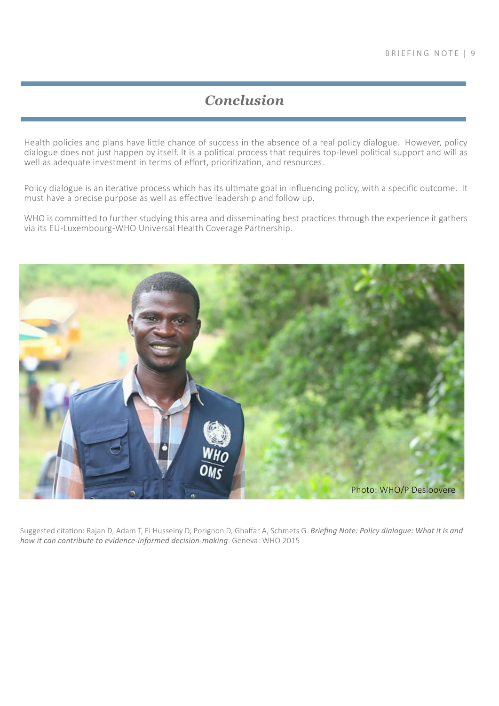## *Conclusion*

Health policies and plans have little chance of success in the absence of a real policy dialogue. However, policy dialogue does not just happen by itself. It is a political process that requires top-level political support and will as well as adequate investment in terms of effort, prioritization, and resources.

Policy dialogue is an iterative process which has its ultimate goal in influencing policy, with a specific outcome. It must have a precise purpose as well as effective leadership and follow up.

WHO is committed to further studying this area and disseminating best practices through the experience it gathers via its EU-Luxembourg-WHO Universal Health Coverage Partnership.



Suggested citation: Rajan D, Adam T, El Husseiny D, Porignon D, Ghaffar A, Schmets G. *Briefing Note: Policy dialogue: What it is and how it can contribute to evidence-informed decision-making*. Geneva: WHO 2015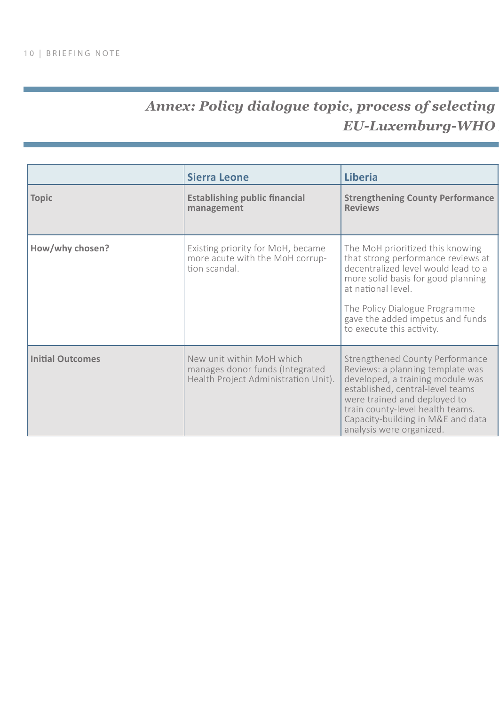# *Annex: Policy dialogue topic, process of selecting EU-Luxemburg-WHO Partnership countries*

|                         | Sierra Leone                                                                                         | Liberia                                                                                                                                                                                                                                                                          |
|-------------------------|------------------------------------------------------------------------------------------------------|----------------------------------------------------------------------------------------------------------------------------------------------------------------------------------------------------------------------------------------------------------------------------------|
| <b>Topic</b>            | <b>Establishing public financial</b><br>management                                                   | Strengthening County Performance<br><b>Reviews</b>                                                                                                                                                                                                                               |
| How/why chosen?         | Existing priority for MoH, became<br>more acute with the MoH corrup-<br>tion scandal.                | The MoH prioritized this knowing<br>that strong performance reviews at<br>decentralized level would lead to a<br>more solid basis for good planning<br>at national level.<br>The Policy Dialogue Programme<br>gave the added impetus and funds<br>to execute this activity.      |
| <b>Initial Outcomes</b> | New unit within MoH which<br>manages donor funds (Integrated<br>Health Project Administration Unit). | Strengthened County Performance<br>Reviews: a planning template was<br>developed, a training module was<br>established, central-level teams<br>were trained and deployed to<br>train county-level health teams.<br>Capacity-building in M&E and data<br>analysis were organized. |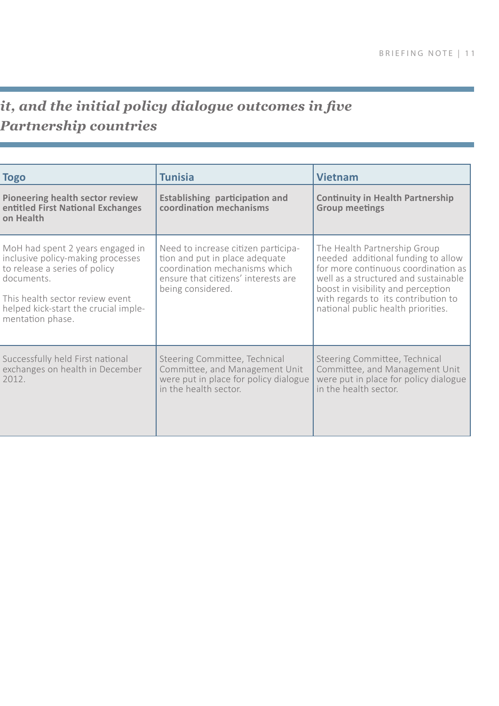# *Annex: Policy dialogue topic, process of selecting it, and the initial policy dialogue outcomes in five*   $\bm{Partnership~countries}$

| <b>Togo</b>                                                                                                                                                                                                         | <b>Tunisia</b>                                                                                                                                                     | <b>Vietnam</b>                                                                                                                                                                                                                                                       |
|---------------------------------------------------------------------------------------------------------------------------------------------------------------------------------------------------------------------|--------------------------------------------------------------------------------------------------------------------------------------------------------------------|----------------------------------------------------------------------------------------------------------------------------------------------------------------------------------------------------------------------------------------------------------------------|
| <b>Pioneering health sector review</b><br>entitled First National Exchanges<br>on Health                                                                                                                            | <b>Establishing participation and</b><br>coordination mechanisms                                                                                                   | <b>Continuity in Health Partnership</b><br><b>Group meetings</b>                                                                                                                                                                                                     |
| MoH had spent 2 years engaged in<br>inclusive policy-making processes<br>to release a series of policy<br>documents.<br>This health sector review event<br>helped kick-start the crucial imple-<br>mentation phase. | Need to increase citizen participa-<br>tion and put in place adequate<br>coordination mechanisms which<br>ensure that citizens' interests are<br>being considered. | The Health Partnership Group<br>needed additional funding to allow<br>for more continuous coordination as<br>well as a structured and sustainable<br>boost in visibility and perception<br>with regards to its contribution to<br>national public health priorities. |
| Successfully held First national<br>exchanges on health in December<br>2012.                                                                                                                                        | Steering Committee, Technical<br>Committee, and Management Unit<br>were put in place for policy dialogue<br>in the health sector.                                  | Steering Committee, Technical<br>Committee, and Management Unit<br>were put in place for policy dialogue<br>in the health sector.                                                                                                                                    |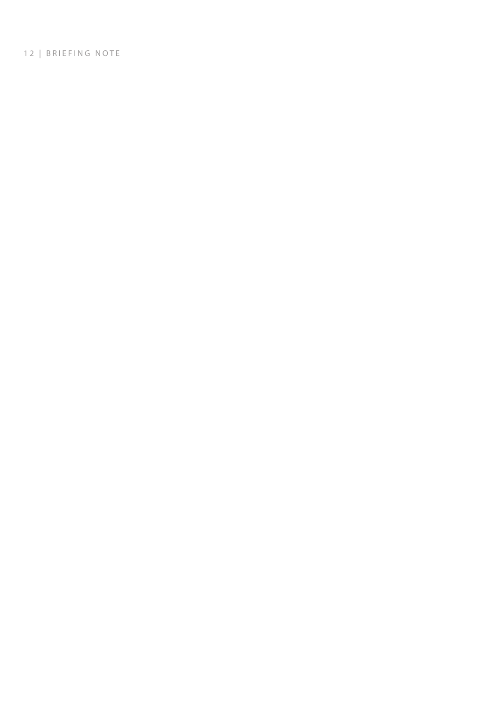12 | BRIEFING NOTE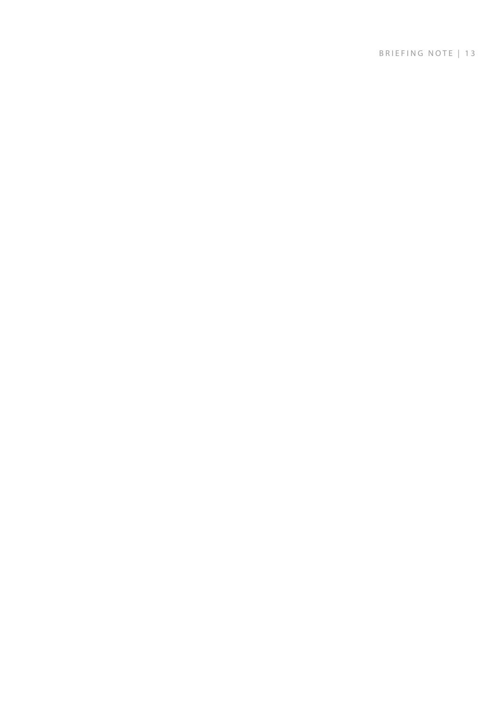BRIEFING NOTE | 13